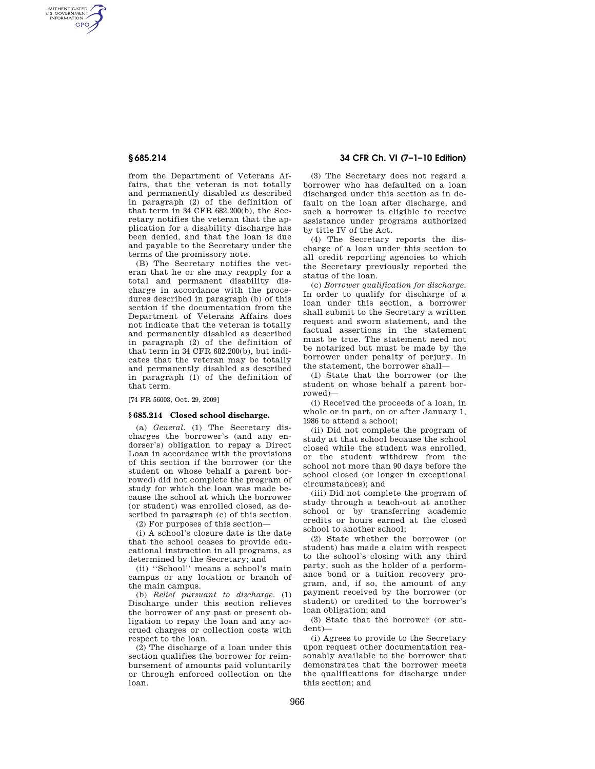AUTHENTICATED<br>U.S. GOVERNMENT<br>INFORMATION **GPO** 

> from the Department of Veterans Affairs, that the veteran is not totally and permanently disabled as described in paragraph (2) of the definition of that term in 34 CFR 682.200(b), the Secretary notifies the veteran that the application for a disability discharge has been denied, and that the loan is due and payable to the Secretary under the terms of the promissory note.

> (B) The Secretary notifies the veteran that he or she may reapply for a total and permanent disability discharge in accordance with the procedures described in paragraph (b) of this section if the documentation from the Department of Veterans Affairs does not indicate that the veteran is totally and permanently disabled as described in paragraph (2) of the definition of that term in 34 CFR 682.200(b), but indicates that the veteran may be totally and permanently disabled as described in paragraph (1) of the definition of that term.

[74 FR 56003, Oct. 29, 2009]

### **§ 685.214 Closed school discharge.**

(a) *General.* (1) The Secretary discharges the borrower's (and any endorser's) obligation to repay a Direct Loan in accordance with the provisions of this section if the borrower (or the student on whose behalf a parent borrowed) did not complete the program of study for which the loan was made because the school at which the borrower (or student) was enrolled closed, as described in paragraph (c) of this section.

(2) For purposes of this section—

(i) A school's closure date is the date that the school ceases to provide educational instruction in all programs, as determined by the Secretary; and

(ii) ''School'' means a school's main campus or any location or branch of the main campus.

(b) *Relief pursuant to discharge.* (1) Discharge under this section relieves the borrower of any past or present obligation to repay the loan and any accrued charges or collection costs with respect to the loan.

(2) The discharge of a loan under this section qualifies the borrower for reimbursement of amounts paid voluntarily or through enforced collection on the loan.

# **§ 685.214 34 CFR Ch. VI (7–1–10 Edition)**

(3) The Secretary does not regard a borrower who has defaulted on a loan discharged under this section as in default on the loan after discharge, and such a borrower is eligible to receive assistance under programs authorized by title IV of the Act.

(4) The Secretary reports the discharge of a loan under this section to all credit reporting agencies to which the Secretary previously reported the status of the loan.

(c) *Borrower qualification for discharge.*  In order to qualify for discharge of a loan under this section, a borrower shall submit to the Secretary a written request and sworn statement, and the factual assertions in the statement must be true. The statement need not be notarized but must be made by the borrower under penalty of perjury. In the statement, the borrower shall—

(1) State that the borrower (or the student on whose behalf a parent borrowed)—

(i) Received the proceeds of a loan, in whole or in part, on or after January 1, 1986 to attend a school;

(ii) Did not complete the program of study at that school because the school closed while the student was enrolled, or the student withdrew from the school not more than 90 days before the school closed (or longer in exceptional circumstances); and

(iii) Did not complete the program of study through a teach-out at another school or by transferring academic credits or hours earned at the closed school to another school;

(2) State whether the borrower (or student) has made a claim with respect to the school's closing with any third party, such as the holder of a performance bond or a tuition recovery program, and, if so, the amount of any payment received by the borrower (or student) or credited to the borrower's loan obligation; and

(3) State that the borrower (or student)—

(i) Agrees to provide to the Secretary upon request other documentation reasonably available to the borrower that demonstrates that the borrower meets the qualifications for discharge under this section; and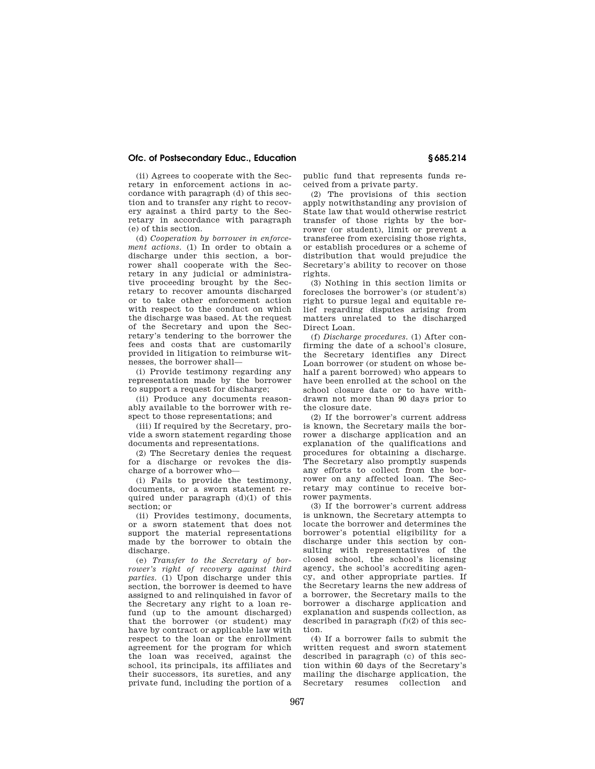# **Ofc. of Postsecondary Educ., Education § 685.214**

(ii) Agrees to cooperate with the Secretary in enforcement actions in accordance with paragraph (d) of this section and to transfer any right to recovery against a third party to the Secretary in accordance with paragraph (e) of this section.

(d) *Cooperation by borrower in enforcement actions.* (1) In order to obtain a discharge under this section, a borrower shall cooperate with the Secretary in any judicial or administrative proceeding brought by the Secretary to recover amounts discharged or to take other enforcement action with respect to the conduct on which the discharge was based. At the request of the Secretary and upon the Secretary's tendering to the borrower the fees and costs that are customarily provided in litigation to reimburse witnesses, the borrower shall—

(i) Provide testimony regarding any representation made by the borrower to support a request for discharge;

(ii) Produce any documents reasonably available to the borrower with respect to those representations; and

(iii) If required by the Secretary, provide a sworn statement regarding those documents and representations.

(2) The Secretary denies the request for a discharge or revokes the discharge of a borrower who—

(i) Fails to provide the testimony, documents, or a sworn statement required under paragraph  $(d)(1)$  of this section; or

(ii) Provides testimony, documents, or a sworn statement that does not support the material representations made by the borrower to obtain the discharge.

(e) *Transfer to the Secretary of borrower's right of recovery against third parties.* (1) Upon discharge under this section, the borrower is deemed to have assigned to and relinquished in favor of the Secretary any right to a loan refund (up to the amount discharged) that the borrower (or student) may have by contract or applicable law with respect to the loan or the enrollment agreement for the program for which the loan was received, against the school, its principals, its affiliates and their successors, its sureties, and any private fund, including the portion of a

public fund that represents funds received from a private party.

(2) The provisions of this section apply notwithstanding any provision of State law that would otherwise restrict transfer of those rights by the borrower (or student), limit or prevent a transferee from exercising those rights, or establish procedures or a scheme of distribution that would prejudice the Secretary's ability to recover on those rights.

(3) Nothing in this section limits or forecloses the borrower's (or student's) right to pursue legal and equitable relief regarding disputes arising from matters unrelated to the discharged Direct Loan.

(f) *Discharge procedures.* (1) After confirming the date of a school's closure, the Secretary identifies any Direct Loan borrower (or student on whose behalf a parent borrowed) who appears to have been enrolled at the school on the school closure date or to have withdrawn not more than 90 days prior to the closure date.

(2) If the borrower's current address is known, the Secretary mails the borrower a discharge application and an explanation of the qualifications and procedures for obtaining a discharge. The Secretary also promptly suspends any efforts to collect from the borrower on any affected loan. The Secretary may continue to receive borrower payments.

(3) If the borrower's current address is unknown, the Secretary attempts to locate the borrower and determines the borrower's potential eligibility for a discharge under this section by consulting with representatives of the closed school, the school's licensing agency, the school's accrediting agency, and other appropriate parties. If the Secretary learns the new address of a borrower, the Secretary mails to the borrower a discharge application and explanation and suspends collection, as described in paragraph  $(f)(2)$  of this section.

(4) If a borrower fails to submit the written request and sworn statement described in paragraph (c) of this section within 60 days of the Secretary's mailing the discharge application, the Secretary resumes collection and